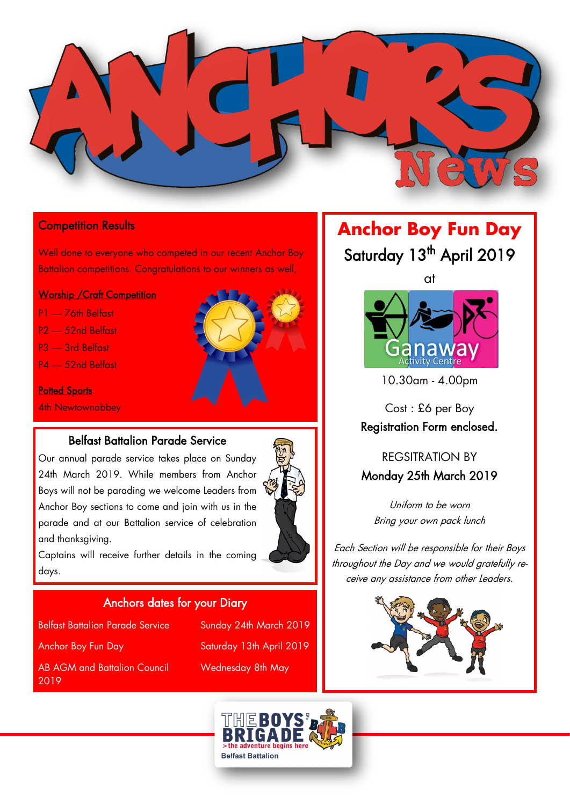

#### **Competition Results**

Well done to everyone who competed in our recent Anchor Boy Battalion competitions. Congratulations to our winners as well,

#### **Worship / Craft Competition**

- P1 76th Belfast
- P2 52nd Belfast
- P3 3rd Belfast
- P4 52nd Belfast

#### **Potted Sports**

4th Newtownabbey

### Belfast Battalion Parade Service

Our annual parade service takes place on Sunday 24th March 2019. While members from Anchor Boys will not be parading we welcome Leaders from Anchor Boy sections to come and join with us in the parade and at our Battalion service of celebration and thanksgiving.

Captains will receive further details in the coming days.

#### Anchors dates for your Diary

Belfast Battalion Parade Service Sunday 24th March 2019 Anchor Boy Fun Day Saturday 13th April 2019 AB AGM and Battalion Council Wednesday 8th May 2019

# **Anchor Boy Fun Day** Saturday 13<sup>th</sup> April 2019

at



10.30am - 4.00pm

Cost : £6 per Boy Registration Form enclosed.

## REGSITRATION BY Monday 25th March 2019

Uniform to be worn Bring your own pack lunch

Each Section will be responsible for their Boys throughout the Day and we would gratefully receive any assistance from other Leaders.